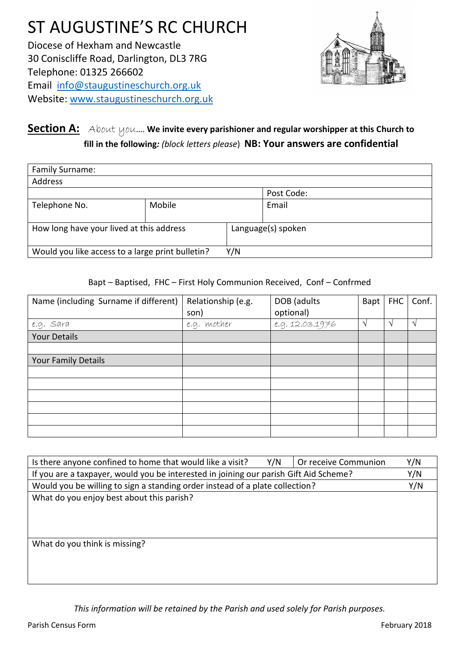# ST AUGUSTINE'S RC CHURCH Diocese of Hexham and Newcastle 30 Coniscliffe Road, Darlington, DL3 7RG Telephone: 01325 266602 Email [info@staugustineschurch.org.uk](mailto:info@staugustineschurch.org.uk) Website: [www.staugustinesc](http://www.staugustines/)hurch.org.uk



## **Section A:** About you…. **We invite every parishioner and regular worshipper at this Church to fill in the following***: (block letters please*) **NB: Your answers are confidential**

| Family Surname:                                         |        |                    |       |  |
|---------------------------------------------------------|--------|--------------------|-------|--|
| Address                                                 |        |                    |       |  |
|                                                         |        | Post Code:         |       |  |
| Telephone No.                                           | Mobile |                    | Email |  |
| How long have your lived at this address                |        | Language(s) spoken |       |  |
| Would you like access to a large print bulletin?<br>Y/N |        |                    |       |  |

#### Bapt – Baptised, FHC – First Holy Communion Received, Conf – Confrmed

| Name (including Surname if different) | Relationship (e.g.<br>son) | DOB (adults<br>optional) | Bapt | FHC           | Conf.         |
|---------------------------------------|----------------------------|--------------------------|------|---------------|---------------|
| e.g. Sara                             | e.g. mother                | e.g. 12.03.1976          | ٦    | $\mathcal{N}$ | $\mathcal{L}$ |
| <b>Your Details</b>                   |                            |                          |      |               |               |
|                                       |                            |                          |      |               |               |
| <b>Your Family Details</b>            |                            |                          |      |               |               |
|                                       |                            |                          |      |               |               |
|                                       |                            |                          |      |               |               |
|                                       |                            |                          |      |               |               |
|                                       |                            |                          |      |               |               |
|                                       |                            |                          |      |               |               |
|                                       |                            |                          |      |               |               |

| Is there anyone confined to home that would like a visit?                             | Y/N | Or receive Communion | Y/N |  |
|---------------------------------------------------------------------------------------|-----|----------------------|-----|--|
| If you are a taxpayer, would you be interested in joining our parish Gift Aid Scheme? |     |                      |     |  |
| Would you be willing to sign a standing order instead of a plate collection?          |     |                      |     |  |
| What do you enjoy best about this parish?                                             |     |                      |     |  |
|                                                                                       |     |                      |     |  |
|                                                                                       |     |                      |     |  |
|                                                                                       |     |                      |     |  |
| What do you think is missing?                                                         |     |                      |     |  |
|                                                                                       |     |                      |     |  |
|                                                                                       |     |                      |     |  |
|                                                                                       |     |                      |     |  |

*This information will be retained by the Parish and used solely for Parish purposes.*